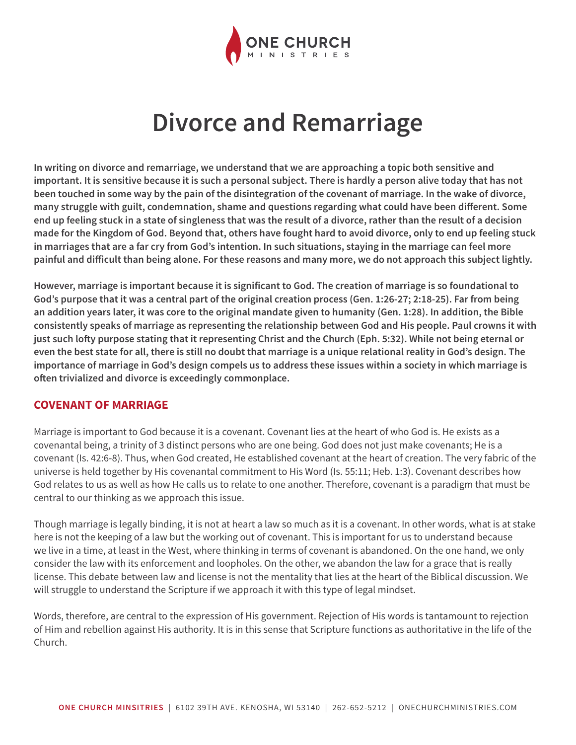

# **Divorce and Remarriage**

**In writing on divorce and remarriage, we understand that we are approaching a topic both sensitive and important. It is sensitive because it is such a personal subject. There is hardly a person alive today that has not been touched in some way by the pain of the disintegration of the covenant of marriage. In the wake of divorce, many struggle with guilt, condemnation, shame and questions regarding what could have been different. Some end up feeling stuck in a state of singleness that was the result of a divorce, rather than the result of a decision made for the Kingdom of God. Beyond that, others have fought hard to avoid divorce, only to end up feeling stuck in marriages that are a far cry from God's intention. In such situations, staying in the marriage can feel more painful and difficult than being alone. For these reasons and many more, we do not approach this subject lightly.**

**However, marriage is important because it is significant to God. The creation of marriage is so foundational to God's purpose that it was a central part of the original creation process (Gen. 1:26-27; 2:18-25). Far from being an addition years later, it was core to the original mandate given to humanity (Gen. 1:28). In addition, the Bible consistently speaks of marriage as representing the relationship between God and His people. Paul crowns it with just such lofty purpose stating that it representing Christ and the Church (Eph. 5:32). While not being eternal or even the best state for all, there is still no doubt that marriage is a unique relational reality in God's design. The importance of marriage in God's design compels us to address these issues within a society in which marriage is often trivialized and divorce is exceedingly commonplace.**

## **COVENANT OF MARRIAGE**

Marriage is important to God because it is a covenant. Covenant lies at the heart of who God is. He exists as a covenantal being, a trinity of 3 distinct persons who are one being. God does not just make covenants; He is a covenant (Is. 42:6-8). Thus, when God created, He established covenant at the heart of creation. The very fabric of the universe is held together by His covenantal commitment to His Word (Is. 55:11; Heb. 1:3). Covenant describes how God relates to us as well as how He calls us to relate to one another. Therefore, covenant is a paradigm that must be central to our thinking as we approach this issue.

Though marriage is legally binding, it is not at heart a law so much as it is a covenant. In other words, what is at stake here is not the keeping of a law but the working out of covenant. This is important for us to understand because we live in a time, at least in the West, where thinking in terms of covenant is abandoned. On the one hand, we only consider the law with its enforcement and loopholes. On the other, we abandon the law for a grace that is really license. This debate between law and license is not the mentality that lies at the heart of the Biblical discussion. We will struggle to understand the Scripture if we approach it with this type of legal mindset.

Words, therefore, are central to the expression of His government. Rejection of His words is tantamount to rejection of Him and rebellion against His authority. It is in this sense that Scripture functions as authoritative in the life of the Church.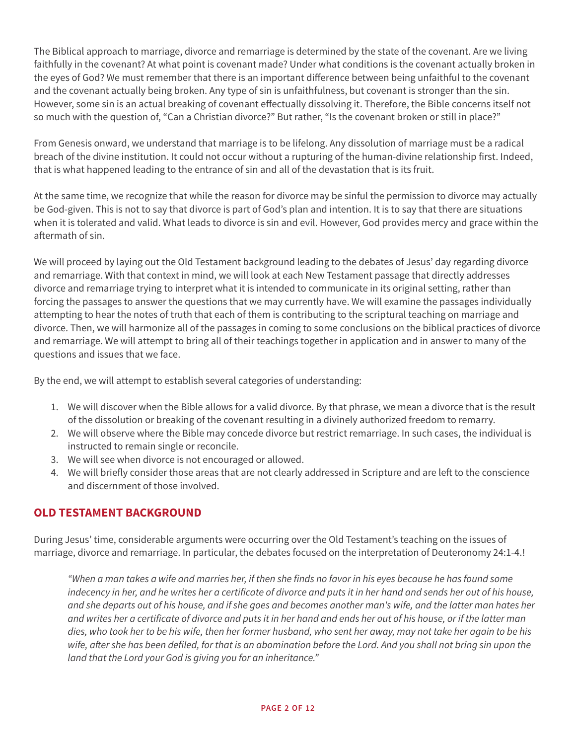The Biblical approach to marriage, divorce and remarriage is determined by the state of the covenant. Are we living faithfully in the covenant? At what point is covenant made? Under what conditions is the covenant actually broken in the eyes of God? We must remember that there is an important difference between being unfaithful to the covenant and the covenant actually being broken. Any type of sin is unfaithfulness, but covenant is stronger than the sin. However, some sin is an actual breaking of covenant effectually dissolving it. Therefore, the Bible concerns itself not so much with the question of, "Can a Christian divorce?" But rather, "Is the covenant broken or still in place?"

From Genesis onward, we understand that marriage is to be lifelong. Any dissolution of marriage must be a radical breach of the divine institution. It could not occur without a rupturing of the human-divine relationship first. Indeed, that is what happened leading to the entrance of sin and all of the devastation that is its fruit.

At the same time, we recognize that while the reason for divorce may be sinful the permission to divorce may actually be God-given. This is not to say that divorce is part of God's plan and intention. It is to say that there are situations when it is tolerated and valid. What leads to divorce is sin and evil. However, God provides mercy and grace within the aftermath of sin.

We will proceed by laying out the Old Testament background leading to the debates of Jesus' day regarding divorce and remarriage. With that context in mind, we will look at each New Testament passage that directly addresses divorce and remarriage trying to interpret what it is intended to communicate in its original setting, rather than forcing the passages to answer the questions that we may currently have. We will examine the passages individually attempting to hear the notes of truth that each of them is contributing to the scriptural teaching on marriage and divorce. Then, we will harmonize all of the passages in coming to some conclusions on the biblical practices of divorce and remarriage. We will attempt to bring all of their teachings together in application and in answer to many of the questions and issues that we face.

By the end, we will attempt to establish several categories of understanding:

- 1. We will discover when the Bible allows for a valid divorce. By that phrase, we mean a divorce that is the result of the dissolution or breaking of the covenant resulting in a divinely authorized freedom to remarry.
- 2. We will observe where the Bible may concede divorce but restrict remarriage. In such cases, the individual is instructed to remain single or reconcile.
- 3. We will see when divorce is not encouraged or allowed.
- 4. We will briefly consider those areas that are not clearly addressed in Scripture and are left to the conscience and discernment of those involved.

# **OLD TESTAMENT BACKGROUND**

During Jesus' time, considerable arguments were occurring over the Old Testament's teaching on the issues of marriage, divorce and remarriage. In particular, the debates focused on the interpretation of Deuteronomy 24:1-4.!

*"When a man takes a wife and marries her, if then she finds no favor in his eyes because he has found some indecency in her, and he writes her a certificate of divorce and puts it in her hand and sends her out of his house, and she departs out of his house, and if she goes and becomes another man's wife, and the latter man hates her and writes her a certificate of divorce and puts it in her hand and ends her out of his house, or if the latter man dies, who took her to be his wife, then her former husband, who sent her away, may not take her again to be his*  wife, after she has been defiled, for that is an abomination before the Lord. And you shall not bring sin upon the *land that the Lord your God is giving you for an inheritance."*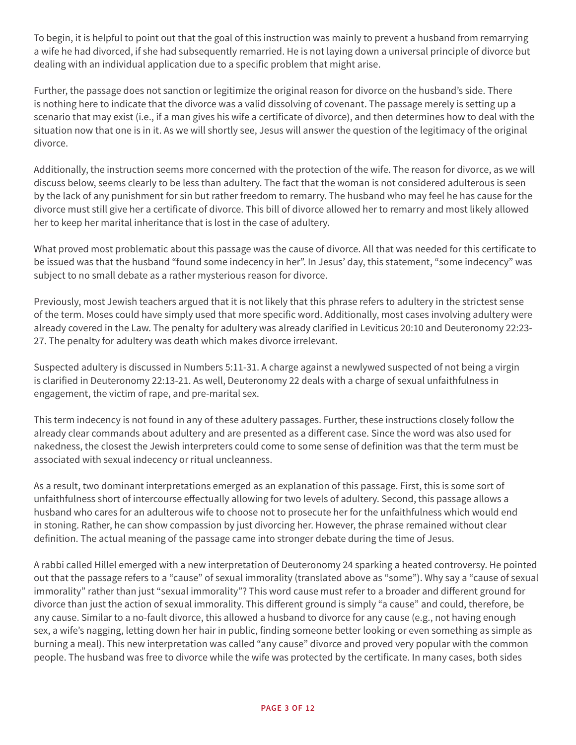To begin, it is helpful to point out that the goal of this instruction was mainly to prevent a husband from remarrying a wife he had divorced, if she had subsequently remarried. He is not laying down a universal principle of divorce but dealing with an individual application due to a specific problem that might arise.

Further, the passage does not sanction or legitimize the original reason for divorce on the husband's side. There is nothing here to indicate that the divorce was a valid dissolving of covenant. The passage merely is setting up a scenario that may exist (i.e., if a man gives his wife a certificate of divorce), and then determines how to deal with the situation now that one is in it. As we will shortly see, Jesus will answer the question of the legitimacy of the original divorce.

Additionally, the instruction seems more concerned with the protection of the wife. The reason for divorce, as we will discuss below, seems clearly to be less than adultery. The fact that the woman is not considered adulterous is seen by the lack of any punishment for sin but rather freedom to remarry. The husband who may feel he has cause for the divorce must still give her a certificate of divorce. This bill of divorce allowed her to remarry and most likely allowed her to keep her marital inheritance that is lost in the case of adultery.

What proved most problematic about this passage was the cause of divorce. All that was needed for this certificate to be issued was that the husband "found some indecency in her". In Jesus' day, this statement, "some indecency" was subject to no small debate as a rather mysterious reason for divorce.

Previously, most Jewish teachers argued that it is not likely that this phrase refers to adultery in the strictest sense of the term. Moses could have simply used that more specific word. Additionally, most cases involving adultery were already covered in the Law. The penalty for adultery was already clarified in Leviticus 20:10 and Deuteronomy 22:23- 27. The penalty for adultery was death which makes divorce irrelevant.

Suspected adultery is discussed in Numbers 5:11-31. A charge against a newlywed suspected of not being a virgin is clarified in Deuteronomy 22:13-21. As well, Deuteronomy 22 deals with a charge of sexual unfaithfulness in engagement, the victim of rape, and pre-marital sex.

This term indecency is not found in any of these adultery passages. Further, these instructions closely follow the already clear commands about adultery and are presented as a different case. Since the word was also used for nakedness, the closest the Jewish interpreters could come to some sense of definition was that the term must be associated with sexual indecency or ritual uncleanness.

As a result, two dominant interpretations emerged as an explanation of this passage. First, this is some sort of unfaithfulness short of intercourse effectually allowing for two levels of adultery. Second, this passage allows a husband who cares for an adulterous wife to choose not to prosecute her for the unfaithfulness which would end in stoning. Rather, he can show compassion by just divorcing her. However, the phrase remained without clear definition. The actual meaning of the passage came into stronger debate during the time of Jesus.

A rabbi called Hillel emerged with a new interpretation of Deuteronomy 24 sparking a heated controversy. He pointed out that the passage refers to a "cause" of sexual immorality (translated above as "some"). Why say a "cause of sexual immorality" rather than just "sexual immorality"? This word cause must refer to a broader and different ground for divorce than just the action of sexual immorality. This different ground is simply "a cause" and could, therefore, be any cause. Similar to a no-fault divorce, this allowed a husband to divorce for any cause (e.g., not having enough sex, a wife's nagging, letting down her hair in public, finding someone better looking or even something as simple as burning a meal). This new interpretation was called "any cause" divorce and proved very popular with the common people. The husband was free to divorce while the wife was protected by the certificate. In many cases, both sides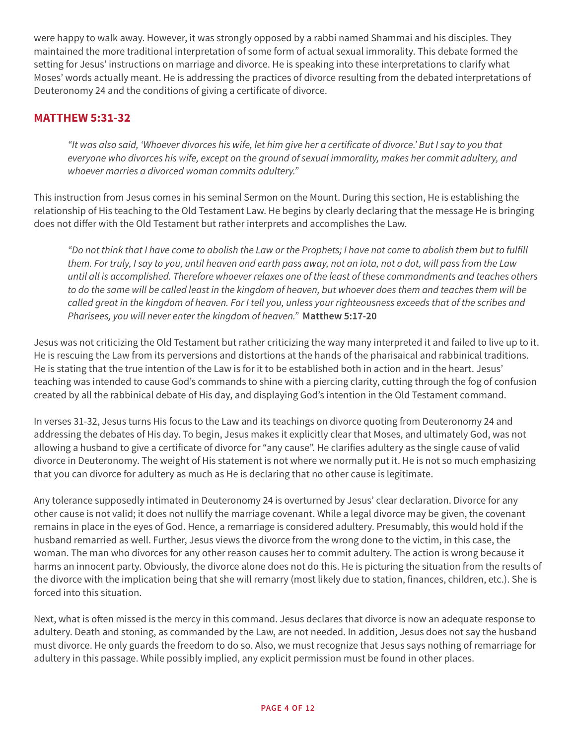were happy to walk away. However, it was strongly opposed by a rabbi named Shammai and his disciples. They maintained the more traditional interpretation of some form of actual sexual immorality. This debate formed the setting for Jesus' instructions on marriage and divorce. He is speaking into these interpretations to clarify what Moses' words actually meant. He is addressing the practices of divorce resulting from the debated interpretations of Deuteronomy 24 and the conditions of giving a certificate of divorce.

## **MATTHEW 5:31-32**

*"It was also said, 'Whoever divorces his wife, let him give her a certificate of divorce.' But I say to you that everyone who divorces his wife, except on the ground of sexual immorality, makes her commit adultery, and whoever marries a divorced woman commits adultery."* 

This instruction from Jesus comes in his seminal Sermon on the Mount. During this section, He is establishing the relationship of His teaching to the Old Testament Law. He begins by clearly declaring that the message He is bringing does not differ with the Old Testament but rather interprets and accomplishes the Law.

*"Do not think that I have come to abolish the Law or the Prophets; I have not come to abolish them but to fulfill them. For truly, I say to you, until heaven and earth pass away, not an iota, not a dot, will pass from the Law until all is accomplished. Therefore whoever relaxes one of the least of these commandments and teaches others to do the same will be called least in the kingdom of heaven, but whoever does them and teaches them will be called great in the kingdom of heaven. For I tell you, unless your righteousness exceeds that of the scribes and Pharisees, you will never enter the kingdom of heaven."* **Matthew 5:17-20**

Jesus was not criticizing the Old Testament but rather criticizing the way many interpreted it and failed to live up to it. He is rescuing the Law from its perversions and distortions at the hands of the pharisaical and rabbinical traditions. He is stating that the true intention of the Law is for it to be established both in action and in the heart. Jesus' teaching was intended to cause God's commands to shine with a piercing clarity, cutting through the fog of confusion created by all the rabbinical debate of His day, and displaying God's intention in the Old Testament command.

In verses 31-32, Jesus turns His focus to the Law and its teachings on divorce quoting from Deuteronomy 24 and addressing the debates of His day. To begin, Jesus makes it explicitly clear that Moses, and ultimately God, was not allowing a husband to give a certificate of divorce for "any cause". He clarifies adultery as the single cause of valid divorce in Deuteronomy. The weight of His statement is not where we normally put it. He is not so much emphasizing that you can divorce for adultery as much as He is declaring that no other cause is legitimate.

Any tolerance supposedly intimated in Deuteronomy 24 is overturned by Jesus' clear declaration. Divorce for any other cause is not valid; it does not nullify the marriage covenant. While a legal divorce may be given, the covenant remains in place in the eyes of God. Hence, a remarriage is considered adultery. Presumably, this would hold if the husband remarried as well. Further, Jesus views the divorce from the wrong done to the victim, in this case, the woman. The man who divorces for any other reason causes her to commit adultery. The action is wrong because it harms an innocent party. Obviously, the divorce alone does not do this. He is picturing the situation from the results of the divorce with the implication being that she will remarry (most likely due to station, finances, children, etc.). She is forced into this situation.

Next, what is often missed is the mercy in this command. Jesus declares that divorce is now an adequate response to adultery. Death and stoning, as commanded by the Law, are not needed. In addition, Jesus does not say the husband must divorce. He only guards the freedom to do so. Also, we must recognize that Jesus says nothing of remarriage for adultery in this passage. While possibly implied, any explicit permission must be found in other places.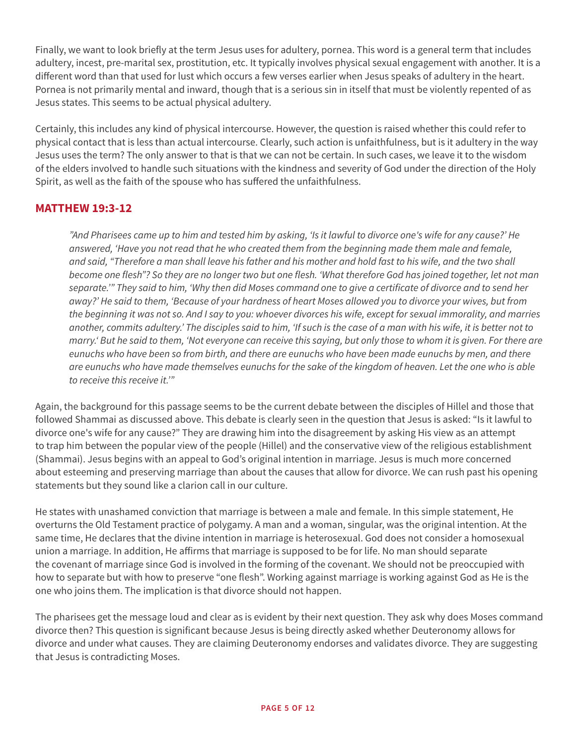Finally, we want to look briefly at the term Jesus uses for adultery, pornea. This word is a general term that includes adultery, incest, pre-marital sex, prostitution, etc. It typically involves physical sexual engagement with another. It is a different word than that used for lust which occurs a few verses earlier when Jesus speaks of adultery in the heart. Pornea is not primarily mental and inward, though that is a serious sin in itself that must be violently repented of as Jesus states. This seems to be actual physical adultery.

Certainly, this includes any kind of physical intercourse. However, the question is raised whether this could refer to physical contact that is less than actual intercourse. Clearly, such action is unfaithfulness, but is it adultery in the way Jesus uses the term? The only answer to that is that we can not be certain. In such cases, we leave it to the wisdom of the elders involved to handle such situations with the kindness and severity of God under the direction of the Holy Spirit, as well as the faith of the spouse who has suffered the unfaithfulness.

## **MATTHEW 19:3-12**

*"And Pharisees came up to him and tested him by asking, 'Is it lawful to divorce one's wife for any cause?' He answered, 'Have you not read that he who created them from the beginning made them male and female, and said, "Therefore a man shall leave his father and his mother and hold fast to his wife, and the two shall become one flesh"? So they are no longer two but one flesh. 'What therefore God has joined together, let not man separate.'" They said to him, 'Why then did Moses command one to give a certificate of divorce and to send her away?' He said to them, 'Because of your hardness of heart Moses allowed you to divorce your wives, but from the beginning it was not so. And I say to you: whoever divorces his wife, except for sexual immorality, and marries another, commits adultery.' The disciples said to him, 'If such is the case of a man with his wife, it is better not to marry.' But he said to them, 'Not everyone can receive this saying, but only those to whom it is given. For there are eunuchs who have been so from birth, and there are eunuchs who have been made eunuchs by men, and there are eunuchs who have made themselves eunuchs for the sake of the kingdom of heaven. Let the one who is able to receive this receive it.'"*

Again, the background for this passage seems to be the current debate between the disciples of Hillel and those that followed Shammai as discussed above. This debate is clearly seen in the question that Jesus is asked: "Is it lawful to divorce one's wife for any cause?" They are drawing him into the disagreement by asking His view as an attempt to trap him between the popular view of the people (Hillel) and the conservative view of the religious establishment (Shammai). Jesus begins with an appeal to God's original intention in marriage. Jesus is much more concerned about esteeming and preserving marriage than about the causes that allow for divorce. We can rush past his opening statements but they sound like a clarion call in our culture.

He states with unashamed conviction that marriage is between a male and female. In this simple statement, He overturns the Old Testament practice of polygamy. A man and a woman, singular, was the original intention. At the same time, He declares that the divine intention in marriage is heterosexual. God does not consider a homosexual union a marriage. In addition, He affirms that marriage is supposed to be for life. No man should separate the covenant of marriage since God is involved in the forming of the covenant. We should not be preoccupied with how to separate but with how to preserve "one flesh". Working against marriage is working against God as He is the one who joins them. The implication is that divorce should not happen.

The pharisees get the message loud and clear as is evident by their next question. They ask why does Moses command divorce then? This question is significant because Jesus is being directly asked whether Deuteronomy allows for divorce and under what causes. They are claiming Deuteronomy endorses and validates divorce. They are suggesting that Jesus is contradicting Moses.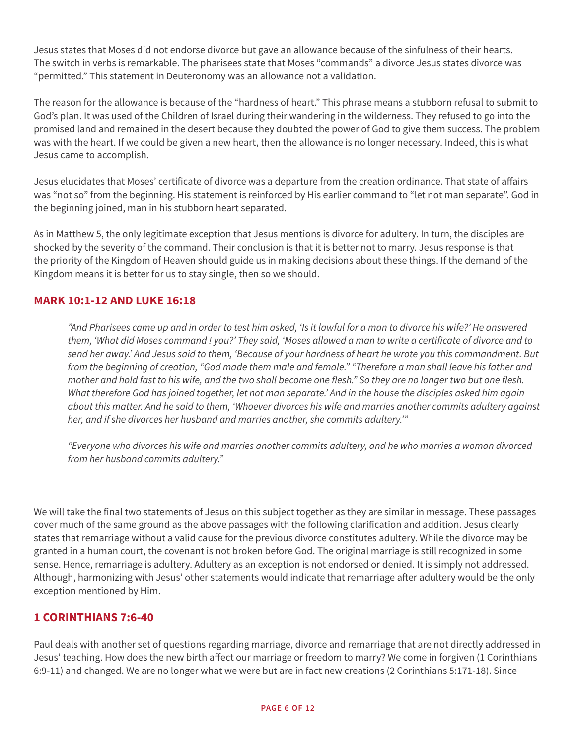Jesus states that Moses did not endorse divorce but gave an allowance because of the sinfulness of their hearts. The switch in verbs is remarkable. The pharisees state that Moses "commands" a divorce Jesus states divorce was "permitted." This statement in Deuteronomy was an allowance not a validation.

The reason for the allowance is because of the "hardness of heart." This phrase means a stubborn refusal to submit to God's plan. It was used of the Children of Israel during their wandering in the wilderness. They refused to go into the promised land and remained in the desert because they doubted the power of God to give them success. The problem was with the heart. If we could be given a new heart, then the allowance is no longer necessary. Indeed, this is what Jesus came to accomplish.

Jesus elucidates that Moses' certificate of divorce was a departure from the creation ordinance. That state of affairs was "not so" from the beginning. His statement is reinforced by His earlier command to "let not man separate". God in the beginning joined, man in his stubborn heart separated.

As in Matthew 5, the only legitimate exception that Jesus mentions is divorce for adultery. In turn, the disciples are shocked by the severity of the command. Their conclusion is that it is better not to marry. Jesus response is that the priority of the Kingdom of Heaven should guide us in making decisions about these things. If the demand of the Kingdom means it is better for us to stay single, then so we should.

## **MARK 10:1-12 AND LUKE 16:18**

*"And Pharisees came up and in order to test him asked, 'Is it lawful for a man to divorce his wife?' He answered them, 'What did Moses command ! you?' They said, 'Moses allowed a man to write a certificate of divorce and to send her away.' And Jesus said to them, 'Because of your hardness of heart he wrote you this commandment. But from the beginning of creation, "God made them male and female." "Therefore a man shall leave his father and mother and hold fast to his wife, and the two shall become one flesh." So they are no longer two but one flesh. What therefore God has joined together, let not man separate.' And in the house the disciples asked him again about this matter. And he said to them, 'Whoever divorces his wife and marries another commits adultery against her, and if she divorces her husband and marries another, she commits adultery.'"* 

*"Everyone who divorces his wife and marries another commits adultery, and he who marries a woman divorced from her husband commits adultery."*

We will take the final two statements of Jesus on this subject together as they are similar in message. These passages cover much of the same ground as the above passages with the following clarification and addition. Jesus clearly states that remarriage without a valid cause for the previous divorce constitutes adultery. While the divorce may be granted in a human court, the covenant is not broken before God. The original marriage is still recognized in some sense. Hence, remarriage is adultery. Adultery as an exception is not endorsed or denied. It is simply not addressed. Although, harmonizing with Jesus' other statements would indicate that remarriage after adultery would be the only exception mentioned by Him.

## **1 CORINTHIANS 7:6-40**

Paul deals with another set of questions regarding marriage, divorce and remarriage that are not directly addressed in Jesus' teaching. How does the new birth affect our marriage or freedom to marry? We come in forgiven (1 Corinthians 6:9-11) and changed. We are no longer what we were but are in fact new creations (2 Corinthians 5:171-18). Since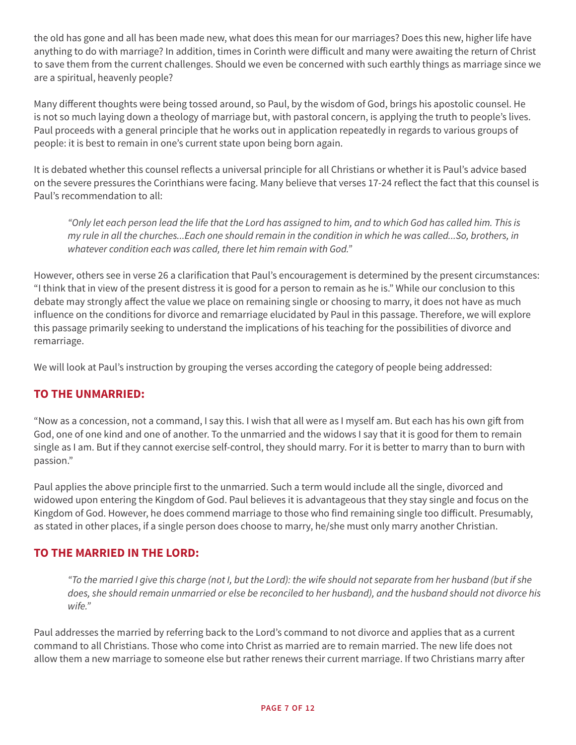the old has gone and all has been made new, what does this mean for our marriages? Does this new, higher life have anything to do with marriage? In addition, times in Corinth were difficult and many were awaiting the return of Christ to save them from the current challenges. Should we even be concerned with such earthly things as marriage since we are a spiritual, heavenly people?

Many different thoughts were being tossed around, so Paul, by the wisdom of God, brings his apostolic counsel. He is not so much laying down a theology of marriage but, with pastoral concern, is applying the truth to people's lives. Paul proceeds with a general principle that he works out in application repeatedly in regards to various groups of people: it is best to remain in one's current state upon being born again.

It is debated whether this counsel reflects a universal principle for all Christians or whether it is Paul's advice based on the severe pressures the Corinthians were facing. Many believe that verses 17-24 reflect the fact that this counsel is Paul's recommendation to all:

*"Only let each person lead the life that the Lord has assigned to him, and to which God has called him. This is my rule in all the churches...Each one should remain in the condition in which he was called...So, brothers, in whatever condition each was called, there let him remain with God."*

However, others see in verse 26 a clarification that Paul's encouragement is determined by the present circumstances: "I think that in view of the present distress it is good for a person to remain as he is." While our conclusion to this debate may strongly affect the value we place on remaining single or choosing to marry, it does not have as much influence on the conditions for divorce and remarriage elucidated by Paul in this passage. Therefore, we will explore this passage primarily seeking to understand the implications of his teaching for the possibilities of divorce and remarriage.

We will look at Paul's instruction by grouping the verses according the category of people being addressed:

# **TO THE UNMARRIED:**

"Now as a concession, not a command, I say this. I wish that all were as I myself am. But each has his own gift from God, one of one kind and one of another. To the unmarried and the widows I say that it is good for them to remain single as I am. But if they cannot exercise self-control, they should marry. For it is better to marry than to burn with passion."

Paul applies the above principle first to the unmarried. Such a term would include all the single, divorced and widowed upon entering the Kingdom of God. Paul believes it is advantageous that they stay single and focus on the Kingdom of God. However, he does commend marriage to those who find remaining single too difficult. Presumably, as stated in other places, if a single person does choose to marry, he/she must only marry another Christian.

## **TO THE MARRIED IN THE LORD:**

*"To the married I give this charge (not I, but the Lord): the wife should not separate from her husband (but if she does, she should remain unmarried or else be reconciled to her husband), and the husband should not divorce his wife."* 

Paul addresses the married by referring back to the Lord's command to not divorce and applies that as a current command to all Christians. Those who come into Christ as married are to remain married. The new life does not allow them a new marriage to someone else but rather renews their current marriage. If two Christians marry after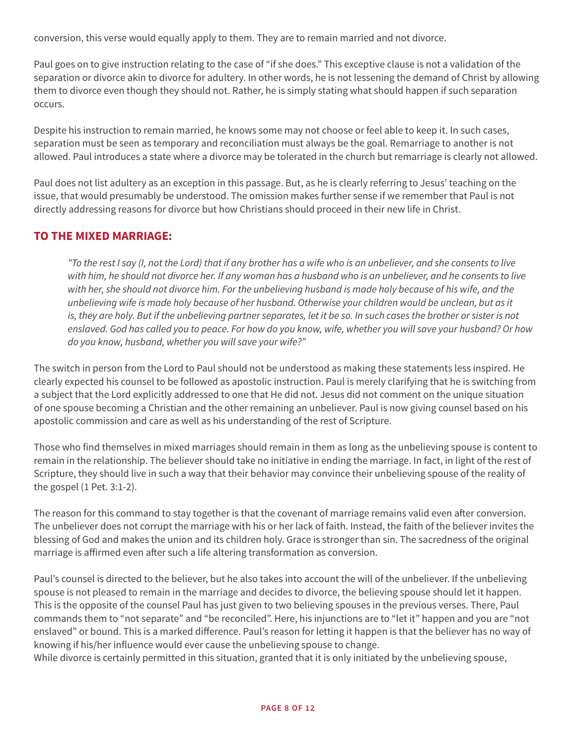conversion, this verse would equally apply to them. They are to remain married and not divorce.

Paul goes on to give instruction relating to the case of "if she does." This exceptive clause is not a validation of the separation or divorce akin to divorce for adultery. In other words, he is not lessening the demand of Christ by allowing them to divorce even though they should not. Rather, he is simply stating what should happen if such separation occurs.

Despite his instruction to remain married, he knows some may not choose or feel able to keep it. In such cases, separation must be seen as temporary and reconciliation must always be the goal. Remarriage to another is not allowed. Paul introduces a state where a divorce may be tolerated in the church but remarriage is clearly not allowed.

Paul does not list adultery as an exception in this passage. But, as he is clearly referring to Jesus' teaching on the issue, that would presumably be understood. The omission makes further sense if we remember that Paul is not directly addressing reasons for divorce but how Christians should proceed in their new life in Christ.

#### **TO THE MIXED MARRIAGE:**

*"To the rest I say (I, not the Lord) that if any brother has a wife who is an unbeliever, and she consents to live with him, he should not divorce her. If any woman has a husband who is an unbeliever, and he consents to live with her, she should not divorce him. For the unbelieving husband is made holy because of his wife, and the unbelieving wife is made holy because of her husband. Otherwise your children would be unclean, but as it is, they are holy. But if the unbelieving partner separates, let it be so. In such cases the brother or sister is not enslaved. God has called you to peace. For how do you know, wife, whether you will save your husband? Or how do you know, husband, whether you will save your wife?"*

The switch in person from the Lord to Paul should not be understood as making these statements less inspired. He clearly expected his counsel to be followed as apostolic instruction. Paul is merely clarifying that he is switching from a subject that the Lord explicitly addressed to one that He did not. Jesus did not comment on the unique situation of one spouse becoming a Christian and the other remaining an unbeliever. Paul is now giving counsel based on his apostolic commission and care as well as his understanding of the rest of Scripture.

Those who find themselves in mixed marriages should remain in them as long as the unbelieving spouse is content to remain in the relationship. The believer should take no initiative in ending the marriage. In fact, in light of the rest of Scripture, they should live in such a way that their behavior may convince their unbelieving spouse of the reality of the gospel (1 Pet. 3:1-2).

The reason for this command to stay together is that the covenant of marriage remains valid even after conversion. The unbeliever does not corrupt the marriage with his or her lack of faith. Instead, the faith of the believer invites the blessing of God and makes the union and its children holy. Grace is stronger than sin. The sacredness of the original marriage is affirmed even after such a life altering transformation as conversion.

Paul's counsel is directed to the believer, but he also takes into account the will of the unbeliever. If the unbelieving spouse is not pleased to remain in the marriage and decides to divorce, the believing spouse should let it happen. This is the opposite of the counsel Paul has just given to two believing spouses in the previous verses. There, Paul commands them to "not separate" and "be reconciled". Here, his injunctions are to "let it" happen and you are "not enslaved" or bound. This is a marked difference. Paul's reason for letting it happen is that the believer has no way of knowing if his/her influence would ever cause the unbelieving spouse to change.

While divorce is certainly permitted in this situation, granted that it is only initiated by the unbelieving spouse,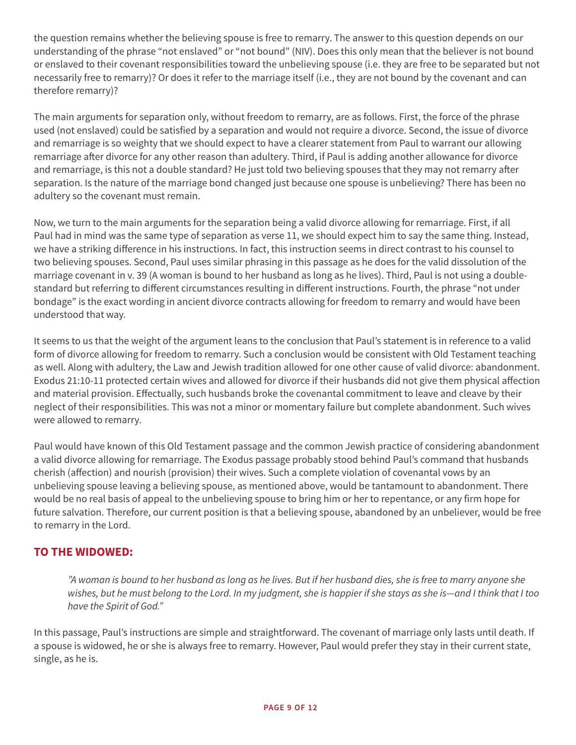the question remains whether the believing spouse is free to remarry. The answer to this question depends on our understanding of the phrase "not enslaved" or "not bound" (NIV). Does this only mean that the believer is not bound or enslaved to their covenant responsibilities toward the unbelieving spouse (i.e. they are free to be separated but not necessarily free to remarry)? Or does it refer to the marriage itself (i.e., they are not bound by the covenant and can therefore remarry)?

The main arguments for separation only, without freedom to remarry, are as follows. First, the force of the phrase used (not enslaved) could be satisfied by a separation and would not require a divorce. Second, the issue of divorce and remarriage is so weighty that we should expect to have a clearer statement from Paul to warrant our allowing remarriage after divorce for any other reason than adultery. Third, if Paul is adding another allowance for divorce and remarriage, is this not a double standard? He just told two believing spouses that they may not remarry after separation. Is the nature of the marriage bond changed just because one spouse is unbelieving? There has been no adultery so the covenant must remain.

Now, we turn to the main arguments for the separation being a valid divorce allowing for remarriage. First, if all Paul had in mind was the same type of separation as verse 11, we should expect him to say the same thing. Instead, we have a striking difference in his instructions. In fact, this instruction seems in direct contrast to his counsel to two believing spouses. Second, Paul uses similar phrasing in this passage as he does for the valid dissolution of the marriage covenant in v. 39 (A woman is bound to her husband as long as he lives). Third, Paul is not using a doublestandard but referring to different circumstances resulting in different instructions. Fourth, the phrase "not under bondage" is the exact wording in ancient divorce contracts allowing for freedom to remarry and would have been understood that way.

It seems to us that the weight of the argument leans to the conclusion that Paul's statement is in reference to a valid form of divorce allowing for freedom to remarry. Such a conclusion would be consistent with Old Testament teaching as well. Along with adultery, the Law and Jewish tradition allowed for one other cause of valid divorce: abandonment. Exodus 21:10-11 protected certain wives and allowed for divorce if their husbands did not give them physical affection and material provision. Effectually, such husbands broke the covenantal commitment to leave and cleave by their neglect of their responsibilities. This was not a minor or momentary failure but complete abandonment. Such wives were allowed to remarry.

Paul would have known of this Old Testament passage and the common Jewish practice of considering abandonment a valid divorce allowing for remarriage. The Exodus passage probably stood behind Paul's command that husbands cherish (affection) and nourish (provision) their wives. Such a complete violation of covenantal vows by an unbelieving spouse leaving a believing spouse, as mentioned above, would be tantamount to abandonment. There would be no real basis of appeal to the unbelieving spouse to bring him or her to repentance, or any firm hope for future salvation. Therefore, our current position is that a believing spouse, abandoned by an unbeliever, would be free to remarry in the Lord.

## **TO THE WIDOWED:**

*"A woman is bound to her husband as long as he lives. But if her husband dies, she is free to marry anyone she wishes, but he must belong to the Lord. In my judgment, she is happier if she stays as she is—and I think that I too have the Spirit of God."* 

In this passage, Paul's instructions are simple and straightforward. The covenant of marriage only lasts until death. If a spouse is widowed, he or she is always free to remarry. However, Paul would prefer they stay in their current state, single, as he is.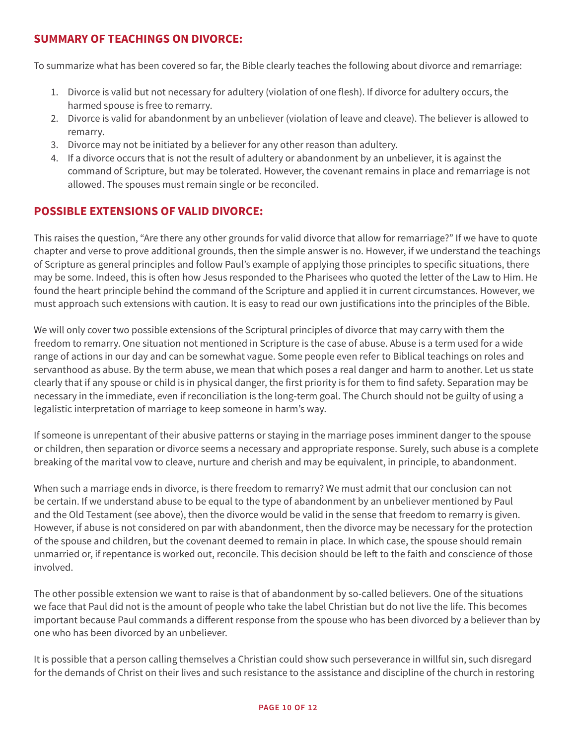## **SUMMARY OF TEACHINGS ON DIVORCE:**

To summarize what has been covered so far, the Bible clearly teaches the following about divorce and remarriage:

- 1. Divorce is valid but not necessary for adultery (violation of one flesh). If divorce for adultery occurs, the harmed spouse is free to remarry.
- 2. Divorce is valid for abandonment by an unbeliever (violation of leave and cleave). The believer is allowed to remarry.
- 3. Divorce may not be initiated by a believer for any other reason than adultery.
- 4. If a divorce occurs that is not the result of adultery or abandonment by an unbeliever, it is against the command of Scripture, but may be tolerated. However, the covenant remains in place and remarriage is not allowed. The spouses must remain single or be reconciled.

## **POSSIBLE EXTENSIONS OF VALID DIVORCE:**

This raises the question, "Are there any other grounds for valid divorce that allow for remarriage?" If we have to quote chapter and verse to prove additional grounds, then the simple answer is no. However, if we understand the teachings of Scripture as general principles and follow Paul's example of applying those principles to specific situations, there may be some. Indeed, this is often how Jesus responded to the Pharisees who quoted the letter of the Law to Him. He found the heart principle behind the command of the Scripture and applied it in current circumstances. However, we must approach such extensions with caution. It is easy to read our own justifications into the principles of the Bible.

We will only cover two possible extensions of the Scriptural principles of divorce that may carry with them the freedom to remarry. One situation not mentioned in Scripture is the case of abuse. Abuse is a term used for a wide range of actions in our day and can be somewhat vague. Some people even refer to Biblical teachings on roles and servanthood as abuse. By the term abuse, we mean that which poses a real danger and harm to another. Let us state clearly that if any spouse or child is in physical danger, the first priority is for them to find safety. Separation may be necessary in the immediate, even if reconciliation is the long-term goal. The Church should not be guilty of using a legalistic interpretation of marriage to keep someone in harm's way.

If someone is unrepentant of their abusive patterns or staying in the marriage poses imminent danger to the spouse or children, then separation or divorce seems a necessary and appropriate response. Surely, such abuse is a complete breaking of the marital vow to cleave, nurture and cherish and may be equivalent, in principle, to abandonment.

When such a marriage ends in divorce, is there freedom to remarry? We must admit that our conclusion can not be certain. If we understand abuse to be equal to the type of abandonment by an unbeliever mentioned by Paul and the Old Testament (see above), then the divorce would be valid in the sense that freedom to remarry is given. However, if abuse is not considered on par with abandonment, then the divorce may be necessary for the protection of the spouse and children, but the covenant deemed to remain in place. In which case, the spouse should remain unmarried or, if repentance is worked out, reconcile. This decision should be left to the faith and conscience of those involved.

The other possible extension we want to raise is that of abandonment by so-called believers. One of the situations we face that Paul did not is the amount of people who take the label Christian but do not live the life. This becomes important because Paul commands a different response from the spouse who has been divorced by a believer than by one who has been divorced by an unbeliever.

It is possible that a person calling themselves a Christian could show such perseverance in willful sin, such disregard for the demands of Christ on their lives and such resistance to the assistance and discipline of the church in restoring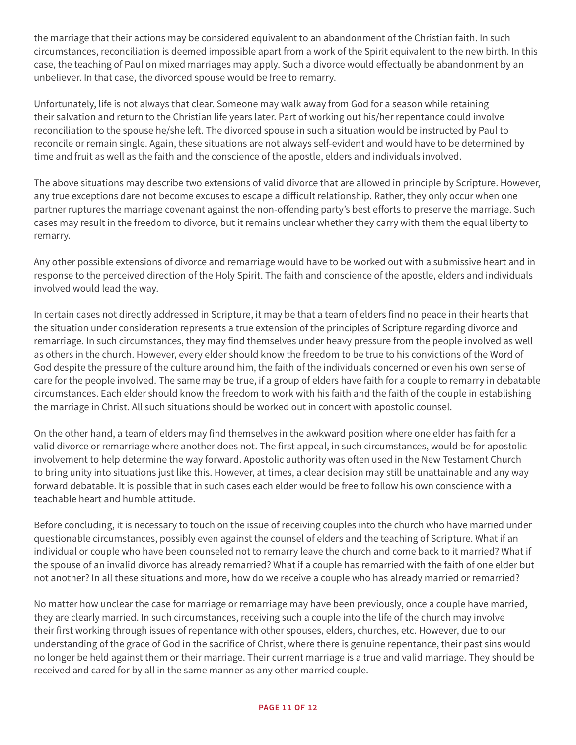the marriage that their actions may be considered equivalent to an abandonment of the Christian faith. In such circumstances, reconciliation is deemed impossible apart from a work of the Spirit equivalent to the new birth. In this case, the teaching of Paul on mixed marriages may apply. Such a divorce would effectually be abandonment by an unbeliever. In that case, the divorced spouse would be free to remarry.

Unfortunately, life is not always that clear. Someone may walk away from God for a season while retaining their salvation and return to the Christian life years later. Part of working out his/her repentance could involve reconciliation to the spouse he/she left. The divorced spouse in such a situation would be instructed by Paul to reconcile or remain single. Again, these situations are not always self-evident and would have to be determined by time and fruit as well as the faith and the conscience of the apostle, elders and individuals involved.

The above situations may describe two extensions of valid divorce that are allowed in principle by Scripture. However, any true exceptions dare not become excuses to escape a difficult relationship. Rather, they only occur when one partner ruptures the marriage covenant against the non-offending party's best efforts to preserve the marriage. Such cases may result in the freedom to divorce, but it remains unclear whether they carry with them the equal liberty to remarry.

Any other possible extensions of divorce and remarriage would have to be worked out with a submissive heart and in response to the perceived direction of the Holy Spirit. The faith and conscience of the apostle, elders and individuals involved would lead the way.

In certain cases not directly addressed in Scripture, it may be that a team of elders find no peace in their hearts that the situation under consideration represents a true extension of the principles of Scripture regarding divorce and remarriage. In such circumstances, they may find themselves under heavy pressure from the people involved as well as others in the church. However, every elder should know the freedom to be true to his convictions of the Word of God despite the pressure of the culture around him, the faith of the individuals concerned or even his own sense of care for the people involved. The same may be true, if a group of elders have faith for a couple to remarry in debatable circumstances. Each elder should know the freedom to work with his faith and the faith of the couple in establishing the marriage in Christ. All such situations should be worked out in concert with apostolic counsel.

On the other hand, a team of elders may find themselves in the awkward position where one elder has faith for a valid divorce or remarriage where another does not. The first appeal, in such circumstances, would be for apostolic involvement to help determine the way forward. Apostolic authority was often used in the New Testament Church to bring unity into situations just like this. However, at times, a clear decision may still be unattainable and any way forward debatable. It is possible that in such cases each elder would be free to follow his own conscience with a teachable heart and humble attitude.

Before concluding, it is necessary to touch on the issue of receiving couples into the church who have married under questionable circumstances, possibly even against the counsel of elders and the teaching of Scripture. What if an individual or couple who have been counseled not to remarry leave the church and come back to it married? What if the spouse of an invalid divorce has already remarried? What if a couple has remarried with the faith of one elder but not another? In all these situations and more, how do we receive a couple who has already married or remarried?

No matter how unclear the case for marriage or remarriage may have been previously, once a couple have married, they are clearly married. In such circumstances, receiving such a couple into the life of the church may involve their first working through issues of repentance with other spouses, elders, churches, etc. However, due to our understanding of the grace of God in the sacrifice of Christ, where there is genuine repentance, their past sins would no longer be held against them or their marriage. Their current marriage is a true and valid marriage. They should be received and cared for by all in the same manner as any other married couple.